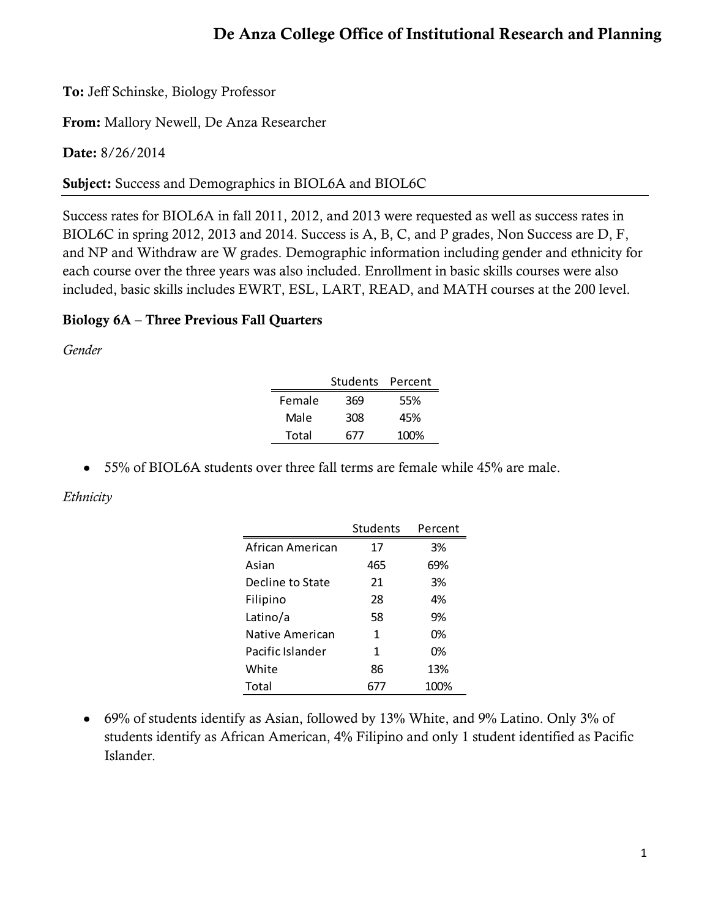# **De Anza College Office of Institutional Research and Planning**

**To:** Jeff Schinske, Biology Professor

**From:** Mallory Newell, De Anza Researcher

**Date:** 8/26/2014

**Subject:** Success and Demographics in BIOL6A and BIOL6C

Success rates for BIOL6A in fall 2011, 2012, and 2013 were requested as well as success rates in BIOL6C in spring 2012, 2013 and 2014. Success is A, B, C, and P grades, Non Success are D, F, and NP and Withdraw are W grades. Demographic information including gender and ethnicity for each course over the three years was also included. Enrollment in basic skills courses were also included, basic skills includes EWRT, ESL, LART, READ, and MATH courses at the 200 level.

### **Biology 6A – Three Previous Fall Quarters**

*Gender*

|        | Students Percent |      |
|--------|------------------|------|
| Female | 369              | 55%  |
| Male   | 308              | 45%  |
| Total  | 677              | 100% |

• 55% of BIOL6A students over three fall terms are female while 45% are male.

*Ethnicity*

|                  | <b>Students</b> | Percent |
|------------------|-----------------|---------|
| African American | 17              | 3%      |
| Asian            | 465             | 69%     |
| Decline to State | 21              | 3%      |
| Filipino         | 28              | 4%      |
| Latino/a         | 58              | 9%      |
| Native American  | 1               | 0%      |
| Pacific Islander | 1               | 0%      |
| White            | 86              | 13%     |
| Total            |                 | 100%    |

69% of students identify as Asian, followed by 13% White, and 9% Latino. Only 3% of students identify as African American, 4% Filipino and only 1 student identified as Pacific Islander.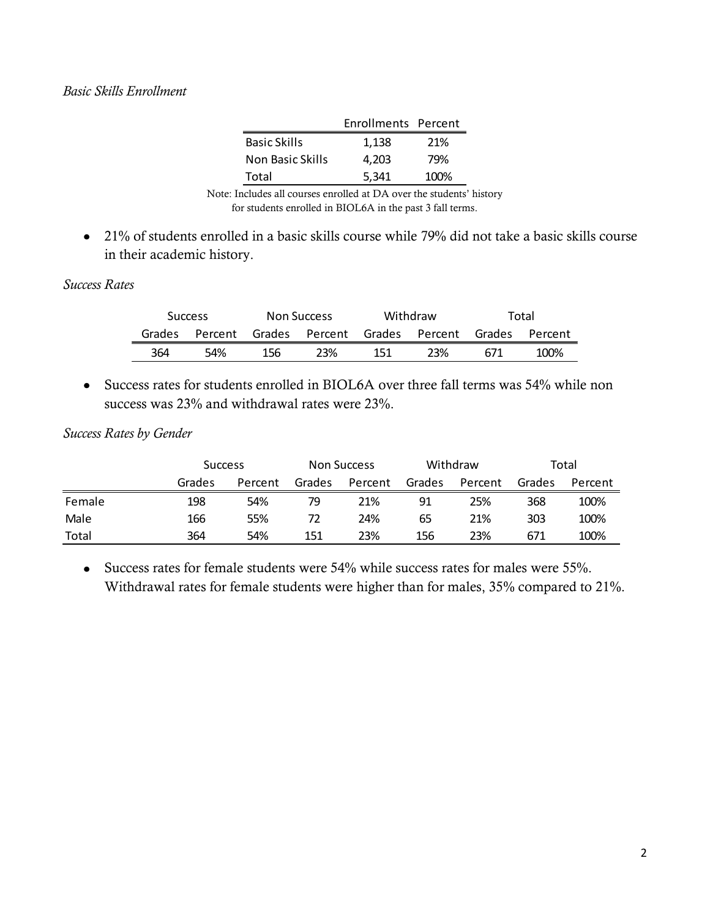### *Basic Skills Enrollment*

|                  | Enrollments Percent |      |
|------------------|---------------------|------|
| Basic Skills     | 1,138               | 21%  |
| Non Basic Skills | 4.203               | 79%  |
| Total            | 5,341               | 100% |

Note: Includes all courses enrolled at DA over the students' history for students enrolled in BIOL6A in the past 3 fall terms.

21% of students enrolled in a basic skills course while 79% did not take a basic skills course in their academic history.

#### *Success Rates*

|        | <b>Success</b> |        | Non Success            |     | Withdraw |        | Total   |
|--------|----------------|--------|------------------------|-----|----------|--------|---------|
| Grades | Percent        | Grades | Percent Grades Percent |     |          | Grades | Percent |
| 364    | 54%            | 156    | 23%                    | 151 | 23%      | 671    | 100%    |

Success rates for students enrolled in BIOL6A over three fall terms was 54% while non success was 23% and withdrawal rates were 23%.

#### *Success Rates by Gender*

|        | <b>Success</b> |         | <b>Non Success</b> |         | Withdraw |         | Total  |         |
|--------|----------------|---------|--------------------|---------|----------|---------|--------|---------|
|        | Grades         | Percent | Grades             | Percent | Grades   | Percent | Grades | Percent |
| Female | 198            | 54%     | 79                 | 21%     | 91       | 25%     | 368    | 100%    |
| Male   | 166            | 55%     | 72                 | 24%     | 65       | 21%     | 303    | 100%    |
| Total  | 364            | 54%     | 151                | 23%     | 156      | 23%     | 671    | 100%    |

Success rates for female students were 54% while success rates for males were 55%. Withdrawal rates for female students were higher than for males, 35% compared to 21%.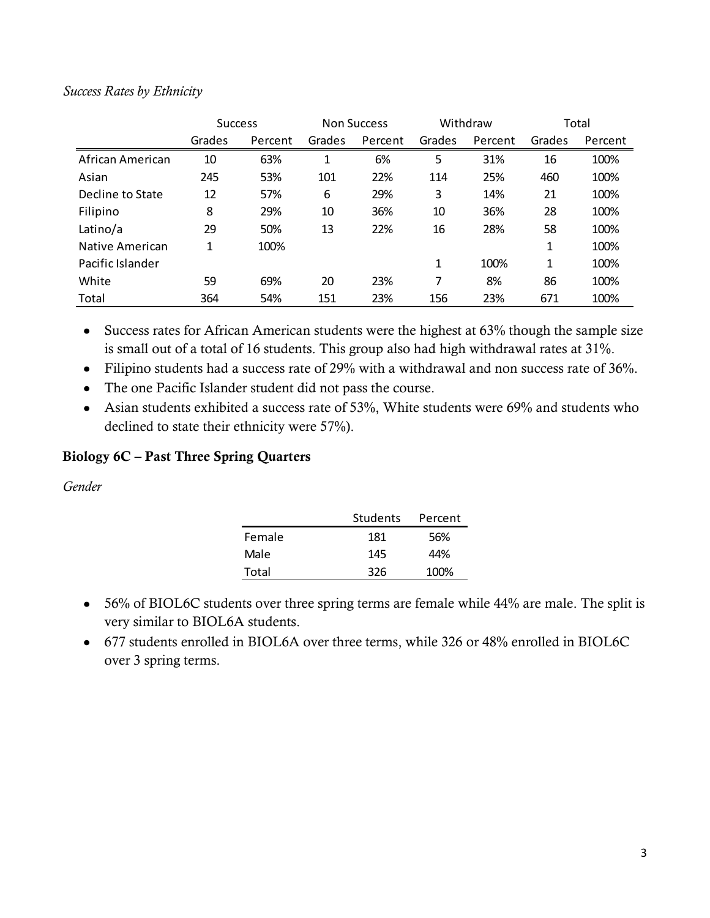### *Success Rates by Ethnicity*

|                  | <b>Success</b> |         | Withdraw<br><b>Non Success</b> |         | Total        |         |        |         |
|------------------|----------------|---------|--------------------------------|---------|--------------|---------|--------|---------|
|                  | Grades         | Percent | Grades                         | Percent | Grades       | Percent | Grades | Percent |
| African American | 10             | 63%     | 1                              | 6%      | 5            | 31%     | 16     | 100%    |
| Asian            | 245            | 53%     | 101                            | 22%     | 114          | 25%     | 460    | 100%    |
| Decline to State | 12             | 57%     | 6                              | 29%     | 3            | 14%     | 21     | 100%    |
| Filipino         | 8              | 29%     | 10                             | 36%     | 10           | 36%     | 28     | 100%    |
| Latino/a         | 29             | 50%     | 13                             | 22%     | 16           | 28%     | 58     | 100%    |
| Native American  | 1              | 100%    |                                |         |              |         | 1      | 100%    |
| Pacific Islander |                |         |                                |         | $\mathbf{1}$ | 100%    | 1      | 100%    |
| White            | 59             | 69%     | 20                             | 23%     | 7            | 8%      | 86     | 100%    |
| Total            | 364            | 54%     | 151                            | 23%     | 156          | 23%     | 671    | 100%    |

• Success rates for African American students were the highest at 63% though the sample size is small out of a total of 16 students. This group also had high withdrawal rates at 31%.

- Filipino students had a success rate of 29% with a withdrawal and non success rate of 36%.
- The one Pacific Islander student did not pass the course.
- Asian students exhibited a success rate of 53%, White students were 69% and students who declined to state their ethnicity were 57%).

### **Biology 6C – Past Three Spring Quarters**

*Gender*

|        | Students | Percent |
|--------|----------|---------|
| Female | 181      | 56%     |
| Male   | 145      | 44%     |
| Total  | 326      | 100%    |

- 56% of BIOL6C students over three spring terms are female while 44% are male. The split is very similar to BIOL6A students.
- 677 students enrolled in BIOL6A over three terms, while 326 or 48% enrolled in BIOL6C over 3 spring terms.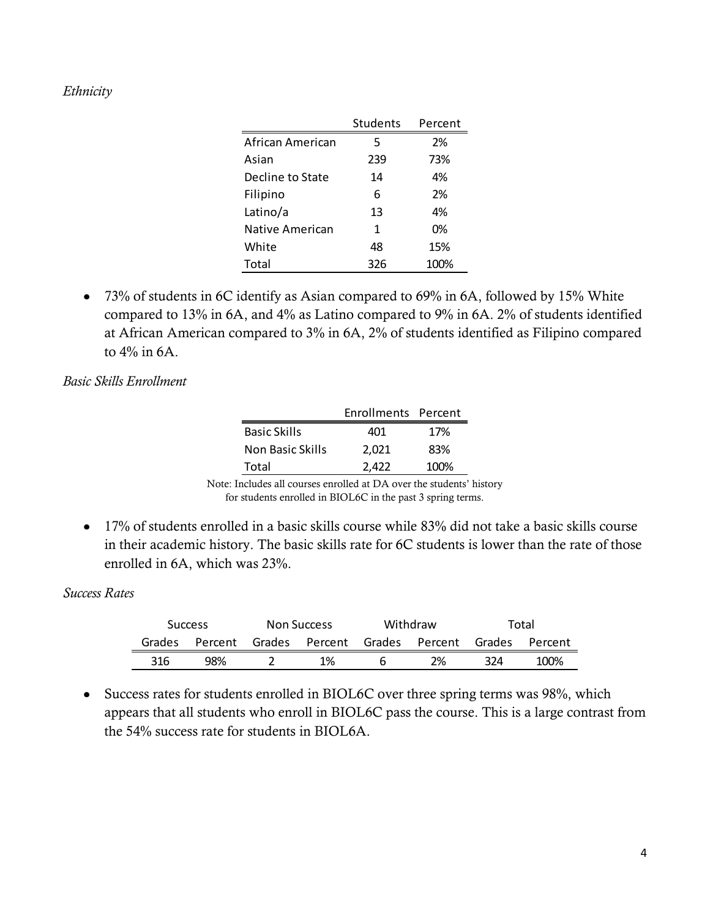### *Ethnicity*

|                  | Students | Percent |
|------------------|----------|---------|
| African American | 5        | 2%      |
| Asian            | 239      | 73%     |
| Decline to State | 14       | 4%      |
| Filipino         | 6        | 2%      |
| Latino/a         | 13       | 4%      |
| Native American  | 1        | 0%      |
| White            | 48       | 15%     |
| Total            | 326      | 100%    |

73% of students in 6C identify as Asian compared to 69% in 6A, followed by 15% White compared to 13% in 6A, and 4% as Latino compared to 9% in 6A. 2% of students identified at African American compared to 3% in 6A, 2% of students identified as Filipino compared to 4% in 6A.

### *Basic Skills Enrollment*

|                     | Enrollments Percent |      |
|---------------------|---------------------|------|
| <b>Basic Skills</b> | 401                 | 17%  |
| Non Basic Skills    | 2.021               | 83%  |
| Total               | 2.422               | 100% |

Note: Includes all courses enrolled at DA over the students' history for students enrolled in BIOL6C in the past 3 spring terms.

17% of students enrolled in a basic skills course while 83% did not take a basic skills course in their academic history. The basic skills rate for 6C students is lower than the rate of those enrolled in 6A, which was 23%.

#### *Success Rates*

|  |        | <b>Success</b> | <b>Non Success</b> |    | Withdraw |                               |     | Total          |
|--|--------|----------------|--------------------|----|----------|-------------------------------|-----|----------------|
|  | Grades | Percent        |                    |    |          | Grades Percent Grades Percent |     | Grades Percent |
|  | 316    | 98%            |                    | 1% |          | 2%                            | 324 | 100%           |

• Success rates for students enrolled in BIOL6C over three spring terms was 98%, which appears that all students who enroll in BIOL6C pass the course. This is a large contrast from the 54% success rate for students in BIOL6A.